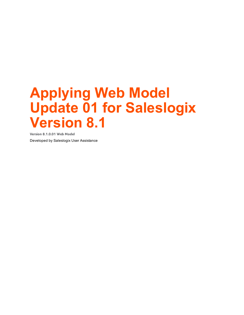**Version 8.1.0.01 Web Model** Developed by Saleslogix User Assistance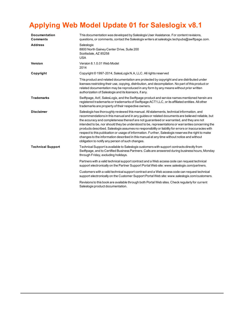| <b>Documentation</b><br><b>Comments</b> | This documentation was developed by Saleslogix User Assistance. For content revisions,<br>questions, or comments, contact the Saleslogix writers at saleslogix techpubs@swiftpage.com.                                                                                                                                                                                                                                                                                                                                                                                                                                                                                                                                                                           |
|-----------------------------------------|------------------------------------------------------------------------------------------------------------------------------------------------------------------------------------------------------------------------------------------------------------------------------------------------------------------------------------------------------------------------------------------------------------------------------------------------------------------------------------------------------------------------------------------------------------------------------------------------------------------------------------------------------------------------------------------------------------------------------------------------------------------|
| <b>Address</b>                          | Saleslogix<br>8800 North Gainey Center Drive, Suite 200<br>Scottsdale, AZ 85258<br><b>USA</b>                                                                                                                                                                                                                                                                                                                                                                                                                                                                                                                                                                                                                                                                    |
| <b>Version</b>                          | Version 8.1.0.01 Web Model<br>2014                                                                                                                                                                                                                                                                                                                                                                                                                                                                                                                                                                                                                                                                                                                               |
| Copyright                               | Copyright © 1997-2014, SalesLogix N.A, LLC. All rights reserved                                                                                                                                                                                                                                                                                                                                                                                                                                                                                                                                                                                                                                                                                                  |
|                                         | This product and related documentation are protected by copyright and are distributed under<br>licenses restricting their use, copying, distribution, and decompilation. No part of this product or<br>related documentation may be reproduced in any form by any means without prior written<br>authorization of Saleslogix and its licensors, if any.                                                                                                                                                                                                                                                                                                                                                                                                          |
| <b>Trademarks</b>                       | Swiftpage, Act!, SalesLogix, and the Swiftpage product and service names mentioned herein are<br>registered trademarks or trademarks of Swiftpage ACT! LLC, or its affiliated entities. All other<br>trademarks are property of their respective owners.                                                                                                                                                                                                                                                                                                                                                                                                                                                                                                         |
| <b>Disclaimer</b>                       | Saleslogix has thoroughly reviewed this manual. All statements, technical information, and<br>recommendations in this manual and in any guides or related documents are believed reliable, but<br>the accuracy and completeness thereof are not guaranteed or warranted, and they are not<br>intended to be, nor should they be understood to be, representations or warranties concerning the<br>products described. Saleslogix assumes no responsibility or liability for errors or inaccuracies with<br>respect to this publication or usage of information. Further, Saleslogix reserves the right to make<br>changes to the information described in this manual at any time without notice and without<br>obligation to notify any person of such changes. |
| <b>Technical Support</b>                | Technical Support is available to Saleslogix customers with support contracts directly from<br>Swiftpage, and to Certified Business Partners. Calls are answered during business hours, Monday<br>through Friday, excluding holidays.                                                                                                                                                                                                                                                                                                                                                                                                                                                                                                                            |
|                                         | Partners with a valid technical support contract and a Web access code can request technical<br>support electronically on the Partner Support Portal Web site: www.saleslogix.com/partners.                                                                                                                                                                                                                                                                                                                                                                                                                                                                                                                                                                      |
|                                         | Customers with a valid technical support contract and a Web access code can request technical<br>support electronically on the Customer Support Portal Web site: www.saleslogix.com/customers.                                                                                                                                                                                                                                                                                                                                                                                                                                                                                                                                                                   |
|                                         | Revisions to this book are available through both Portal Web sites. Check regularly for current<br>Saleslogix product documentation.                                                                                                                                                                                                                                                                                                                                                                                                                                                                                                                                                                                                                             |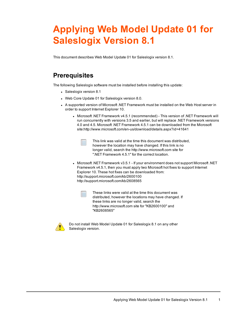This document describes Web Model Update 01 for Saleslogix version 8.1.

## **Prerequisites**

The following Saleslogix software must be installed before installing this update:

- Saleslogix version 8.1
- Web Core Update 01 for Saleslogix version 8.0.
- A supported version of Microsoft .NET [Framework](http://www.microsoft.com/en-us/download/details.aspx?id=30653) must be installed on the Web Host server in order to support Internet [Explorer](http://www.microsoft.com/en-us/download/details.aspx?id=30653) 10.
	- <sup>l</sup> Microsoft .NET Framework v4.5.1 [\(recommended\)](http://www.microsoft.com/en-us/download/details.aspx?id=30653) This version of .NET Framework will run [concurrently](http://www.microsoft.com/en-us/download/details.aspx?id=30653) with versions 3.5 and earlier, but will replace .NET Framework versions 4.0 and 4.5. Microsoft .NET Framework 4.5.1 can be [downloaded](http://www.microsoft.com/en-us/download/details.aspx?id=30653) from the Microsoft [site:http://www.microsoft.com/en-us/download/details.aspx?id=41641](http://www.microsoft.com/en-us/download/details.aspx?id=30653)

This link was valid at the time this document was distributed, however the location may have changed. If this link is no longer valid, search the http://www.microsoft.com site for ".NET Framework 4.5.1" for the correct location.

<sup>l</sup> Microsoft .NET Framework v3.5.1 - If your environment does not support Microsoft .NET Framework v4.5.1, then you must apply two Microsoft hot fixes to support Internet Explorer 10. These hot fixes can be downloaded from: http://support.microsoft.com/kb/2600100 http://support.microsoft.com/kb/2608565



These links were valid at the time this document was distributed, however the locations may have changed. If these links are no longer valid, search the http://www.microsoft.com site for "KB2600100" and "KB2608565"



Do not install Web Model Update 01 for Saleslogix 8.1 on any other Saleslogix version.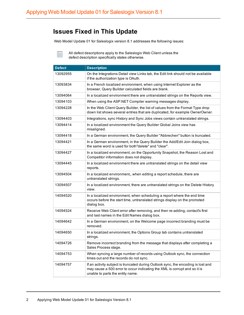#### **Issues Fixed in This Update**

Web Model Update 01 for Saleslogix version 8.1 addresses the following issues:

All defect descriptions apply to the Saleslogix Web Client unless the defect description specifically states otherwise.

| <b>Defect</b> | <b>Description</b>                                                                                                                                                                                 |
|---------------|----------------------------------------------------------------------------------------------------------------------------------------------------------------------------------------------------|
| 13092955      | On the Integrations Detail view Links tab, the Edit link should not be available<br>if the authorization type is OAuth.                                                                            |
| 13093834      | In a French localized environment, when using Internet Explorer as the<br>browser, Query Builder calculated fields are blank.                                                                      |
| 13094064      | In a localized environment there are untranslated strings on the Reports view.                                                                                                                     |
| 13094103      | When using the ASP.NET Compiler warning messages display.                                                                                                                                          |
| 13094228      | In the Web Client Query Builder, the list of values from the Format Type drop<br>down list shows several entries that are duplicated, for example OwnerOwner.                                      |
| 13094403      | Integrations, sync History and Sync Jobs views contain untranslated strings.                                                                                                                       |
| 13094414      | In a localized environment the Query Builder Global Joins view has<br>misaligned.                                                                                                                  |
| 13094418      | In a German environment, the Query Builder "Abbrechen" button is truncated.                                                                                                                        |
| 13094421      | In a German environment, in the Query Builder the Add/Edit Join dialog box,<br>the same word is used for both"delete" and "clear".                                                                 |
| 13094427      | In a localized environment, on the Opportunity Snapshot, the Reason Lost and<br>Competitor information does not display.                                                                           |
| 13094445      | In a localized environment there are untranslated strings on the detail view<br>reports.                                                                                                           |
| 13094504      | In a localized environment,, when editing a report schedule, there are<br>untranslated strings.                                                                                                    |
| 13094507      | In a localized environment, there are untranslated strings on the Delete History<br>view.                                                                                                          |
| 14094520      | In a localized environment, when scheduling a report where the end time<br>occurs before the start time, untranslated strings display on the promoted<br>dialog box.                               |
| 14094524      | Receive Web Client error after removing, and then re-adding, contact's first<br>and last names in the Edit Names dialog box.                                                                       |
| 14094642      | In a German environment, on the Welcome page incorrect branding must be<br>removed.                                                                                                                |
| 14094650      | In a localized environment, the Options Group tab contains untranslated<br>strings.                                                                                                                |
| 14094726      | Remove incorrect branding from the message that displays after completing a<br>Sales Process stage.                                                                                                |
| 14094753      | When syncing a large number of records using Outlook sync, the connection<br>times out and the records do not sync.                                                                                |
| 14094757      | If an activity subject is truncated during Outlook sync, the encoding is lost and<br>may cause a 500 error to occur indicating the XML is corrupt and so it is<br>unable to parts the entity name. |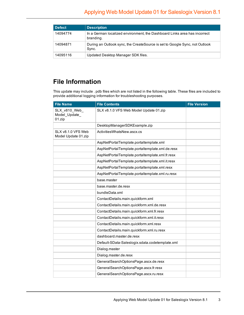| <b>Defect</b> | <b>Description</b>                                                                     |
|---------------|----------------------------------------------------------------------------------------|
| 14094774      | In a German localized environment, the Dashboard Links area has incorrect<br>branding. |
| 14094871      | During an Outlook sync, the CreateSource is set to Google Sync, not Outlook<br>Sync.   |
| 14095116      | Updated Desktop Manager SDK files.                                                     |

## **File Information**

This update may include . pdb files which are not listed in the following table. These files are included to provide additional logging information for troubleshooting purposes.

| <b>File Name</b>                          | <b>File Contents</b>                            | <b>File Version</b> |
|-------------------------------------------|-------------------------------------------------|---------------------|
| SLX_v810_Web_<br>Model_Update_<br>01.zip  | SLX v8.1.0 VFS Web Model Update 01.zip          |                     |
|                                           | DesktopManagerSDKExample.zip                    |                     |
| SLX v8.1.0 VFS Web<br>Model Update 01.zip | ActivitiesWhatsNew.ascx.cs                      |                     |
|                                           | AspNetPortalTemplate.portaltemplate.xml         |                     |
|                                           | AspNetPortalTemplate.portaltemplate.xml.de.resx |                     |
|                                           | AspNetPortalTemplate.portaltemplate.xml.fr.resx |                     |
|                                           | AspNetPortalTemplate.portaltemplate.xml.it.resx |                     |
|                                           | AspNetPortalTemplate.portaltemplate.xml.resx    |                     |
|                                           | AspNetPortalTemplate.portaltemplate.xml.ru.resx |                     |
|                                           | base.master                                     |                     |
|                                           | base.master.de.resx                             |                     |
|                                           | bundleData.xml                                  |                     |
|                                           | ContactDetails.main.quickform.xml               |                     |
|                                           | ContactDetails.main.quickform.xml.de.resx       |                     |
|                                           | ContactDetails.main.quickform.xml.fr.resx       |                     |
|                                           | ContactDetails.main.quickform.xml.it.resx       |                     |
|                                           | ContactDetails.main.quickform.xml.resx          |                     |
|                                           | ContactDetails.main.quickform.xml.ru.resx       |                     |
|                                           | dashboard.master.de.resx                        |                     |
|                                           | Default-SData-Saleslogix.sdata.codetemplate.xml |                     |
|                                           | Dialog.master                                   |                     |
|                                           | Dialog.master.de.resx                           |                     |
|                                           | GeneralSearchOptionsPage.ascx.de.resx           |                     |
|                                           | GeneralSearchOptionsPage.ascx.fr.resx           |                     |
|                                           | GeneralSearchOptionsPage.ascx.ru.resx           |                     |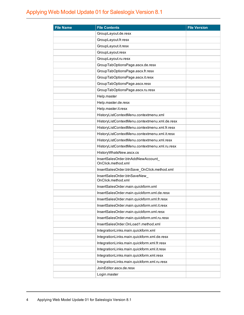| <b>File Name</b> | <b>File Contents</b>                                    | <b>File Version</b> |
|------------------|---------------------------------------------------------|---------------------|
|                  | GroupLayout.de.resx                                     |                     |
|                  | GroupLayout.fr.resx                                     |                     |
|                  | GroupLayout.it.resx                                     |                     |
|                  | GroupLayout.resx                                        |                     |
|                  | GroupLayout.ru.resx                                     |                     |
|                  | GroupTabOptionsPage.ascx.de.resx                        |                     |
|                  | GroupTabOptionsPage.ascx.fr.resx                        |                     |
|                  | GroupTabOptionsPage.ascx.it.resx                        |                     |
|                  | GroupTabOptionsPage.ascx.resx                           |                     |
|                  | GroupTabOptionsPage.ascx.ru.resx                        |                     |
|                  | Help.master                                             |                     |
|                  | Help.master.de.resx                                     |                     |
|                  | Help.master.it.resx                                     |                     |
|                  | HistoryListContextMenu.contextmenu.xml                  |                     |
|                  | HistoryListContextMenu.contextmenu.xml.de.resx          |                     |
|                  | HistoryListContextMenu.contextmenu.xml.fr.resx          |                     |
|                  | HistoryListContextMenu.contextmenu.xml.it.resx          |                     |
|                  | HistoryListContextMenu.contextmenu.xml.resx             |                     |
|                  | HistoryListContextMenu.contextmenu.xml.ru.resx          |                     |
|                  | HistoryWhatsNew.ascx.cs                                 |                     |
|                  | InsertSalesOrder.btnAddNewAccount<br>OnClick.method.xml |                     |
|                  | InsertSalesOrder.btnSave_OnClick.method.xml             |                     |
|                  | InsertSalesOrder.btnSaveNew_<br>OnClick.method.xml      |                     |
|                  | InsertSalesOrder.main.quickform.xml                     |                     |
|                  | InsertSalesOrder.main.quickform.xml.de.resx             |                     |
|                  | InsertSalesOrder.main.quickform.xml.fr.resx             |                     |
|                  | InsertSalesOrder.main.quickform.xml.it.resx             |                     |
|                  | InsertSalesOrder.main.quickform.xml.resx                |                     |
|                  | InsertSalesOrder.main.quickform.xml.ru.resx             |                     |
|                  | InsertSalesOrder.OnLoad1.method.xml                     |                     |
|                  | IntegrationLinks.main.quickform.xml                     |                     |
|                  | IntegrationLinks.main.quickform.xml.de.resx             |                     |
|                  | IntegrationLinks.main.quickform.xml.fr.resx             |                     |
|                  | IntegrationLinks.main.quickform.xml.it.resx             |                     |
|                  | IntegrationLinks.main.quickform.xml.resx                |                     |
|                  | IntegrationLinks.main.quickform.xml.ru.resx             |                     |
|                  | JoinEditor.ascx.de.resx                                 |                     |
|                  | Login.master                                            |                     |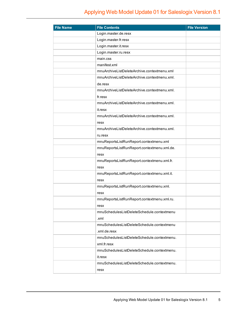| <b>File Name</b> | <b>File Contents</b>                         | <b>File Version</b> |
|------------------|----------------------------------------------|---------------------|
|                  | Login.master.de.resx                         |                     |
|                  | Login.master.fr.resx                         |                     |
|                  | Login.master.it.resx                         |                     |
|                  | Login.master.ru.resx                         |                     |
|                  | main.css                                     |                     |
|                  | manifest.xml                                 |                     |
|                  | mnuArchiveListDeleteArchive.contextmenu.xml  |                     |
|                  | mnuArchiveListDeleteArchive.contextmenu.xml. |                     |
|                  | de.resx                                      |                     |
|                  | mnuArchiveListDeleteArchive.contextmenu.xml. |                     |
|                  | fr.resx                                      |                     |
|                  | mnuArchiveListDeleteArchive.contextmenu.xml. |                     |
|                  | it.resx                                      |                     |
|                  | mnuArchiveListDeleteArchive.contextmenu.xml. |                     |
|                  | resx                                         |                     |
|                  | mnuArchiveListDeleteArchive.contextmenu.xml. |                     |
|                  | ru.resx                                      |                     |
|                  | mnuReportsListRunReport.contextmenu.xml      |                     |
|                  | mnuReportsListRunReport.contextmenu.xml.de.  |                     |
|                  | resx                                         |                     |
|                  | mnuReportsListRunReport.contextmenu.xml.fr.  |                     |
|                  | resx                                         |                     |
|                  | mnuReportsListRunReport.contextmenu.xml.it.  |                     |
|                  | resx                                         |                     |
|                  | mnuReportsListRunReport.contextmenu.xml.     |                     |
|                  | resx                                         |                     |
|                  | mnuReportsListRunReport.contextmenu.xml.ru.  |                     |
|                  | resx                                         |                     |
|                  | mnuSchedulesListDeleteSchedule.contextmenu   |                     |
|                  | .xml                                         |                     |
|                  | mnuSchedulesListDeleteSchedule.contextmenu   |                     |
|                  | .xml.de.resx                                 |                     |
|                  | mnuSchedulesListDeleteSchedule.contextmenu.  |                     |
|                  | xml.fr.resx                                  |                     |
|                  | mnuSchedulesListDeleteSchedule.contextmenu.  |                     |
|                  | it.resx                                      |                     |
|                  | mnuSchedulesListDeleteSchedule.contextmenu.  |                     |
|                  | resx                                         |                     |
|                  |                                              |                     |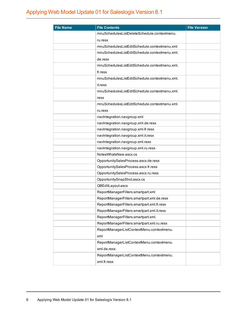| <b>File Name</b> | <b>File Contents</b>                          | <b>File Version</b> |
|------------------|-----------------------------------------------|---------------------|
|                  | mnuSchedulesListDeleteSchedule.contextmenu.   |                     |
|                  | ru.resx                                       |                     |
|                  | mnuSchedulesListEditSchedule.contextmenu.xml  |                     |
|                  | mnuSchedulesListEditSchedule.contextmenu.xml. |                     |
|                  | de.resx                                       |                     |
|                  | mnuSchedulesListEditSchedule.contextmenu.xml. |                     |
|                  | fr.resx                                       |                     |
|                  | mnuSchedulesListEditSchedule.contextmenu.xml. |                     |
|                  | it.resx                                       |                     |
|                  | mnuSchedulesListEditSchedule.contextmenu.xml. |                     |
|                  | resx                                          |                     |
|                  | mnuSchedulesListEditSchedule.contextmenu.xml. |                     |
|                  | ru.resx                                       |                     |
|                  | navIntegration.navgroup.xml                   |                     |
|                  | navIntegration.navgroup.xml.de.resx           |                     |
|                  | navIntegration.navgroup.xml.fr.resx           |                     |
|                  | navIntegration.navgroup.xml.it.resx           |                     |
|                  | navIntegration.navgroup.xml.resx              |                     |
|                  | navIntegration.navgroup.xml.ru.resx           |                     |
|                  | NotesWhatsNew.ascx.cs                         |                     |
|                  | OpportunitySalesProcess.ascx.de.resx          |                     |
|                  | OpportunitySalesProcess.ascx.fr.resx          |                     |
|                  | OpportunitySalesProcess.ascx.ru.resx          |                     |
|                  | OpportunitySnapShot.ascx.cs                   |                     |
|                  | QBEditLayout.ascx                             |                     |
|                  | ReportManagerFilters.smartpart.xml            |                     |
|                  | ReportManagerFilters.smartpart.xml.de.resx    |                     |
|                  | ReportManagerFilters.smartpart.xml.fr.resx    |                     |
|                  | ReportManagerFilters.smartpart.xml.it.resx    |                     |
|                  | ReportManagerFilters.smartpart.xml.           |                     |
|                  | ReportManagerFilters.smartpart.xml.ru.resx    |                     |
|                  | ReportManagerListContextMenu.contextmenu.     |                     |
|                  | xml                                           |                     |
|                  | ReportManagerListContextMenu.contextmenu.     |                     |
|                  | xml.de.resx                                   |                     |
|                  | ReportManagerListContextMenu.contextmenu.     |                     |
|                  | xml.fr.resx                                   |                     |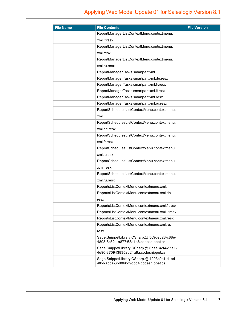| <b>File Name</b> | <b>File Contents</b>                                                                 | <b>File Version</b> |
|------------------|--------------------------------------------------------------------------------------|---------------------|
|                  | ReportManagerListContextMenu.contextmenu.                                            |                     |
|                  | xml.it.resx                                                                          |                     |
|                  | ReportManagerListContextMenu.contextmenu.                                            |                     |
|                  | xml.resx                                                                             |                     |
|                  | ReportManagerListContextMenu.contextmenu.                                            |                     |
|                  | xml.ru.resx                                                                          |                     |
|                  | ReportManagerTasks.smartpart.xml                                                     |                     |
|                  | ReportManagerTasks.smartpart.xml.de.resx                                             |                     |
|                  | ReportManagerTasks.smartpart.xml.fr.resx                                             |                     |
|                  | ReportManagerTasks.smartpart.xml.it.resx                                             |                     |
|                  | ReportManagerTasks.smartpart.xml.resx                                                |                     |
|                  | ReportManagerTasks.smartpart.xml.ru.resx                                             |                     |
|                  | ReportSchedulesListContextMenu.contextmenu.                                          |                     |
|                  | xml                                                                                  |                     |
|                  | ReportSchedulesListContextMenu.contextmenu.                                          |                     |
|                  | xml.de.resx                                                                          |                     |
|                  | ReportSchedulesListContextMenu.contextmenu.                                          |                     |
|                  | xml.fr.resx                                                                          |                     |
|                  | ReportSchedulesListContextMenu.contextmenu.                                          |                     |
|                  | xml.it.resx                                                                          |                     |
|                  | ReportSchedulesListContextMenu.contextmenu                                           |                     |
|                  | .xml.resx                                                                            |                     |
|                  | ReportSchedulesListContextMenu.contextmenu.                                          |                     |
|                  | xml.ru.resx                                                                          |                     |
|                  | ReportsListContextMenu.contextmenu.xml.                                              |                     |
|                  | ReportsListContextMenu.contextmenu.xml.de.                                           |                     |
|                  | resx                                                                                 |                     |
|                  | ReportsListContextMenu.contextmenu.xml.fr.resx                                       |                     |
|                  | ReportsListContextMenu.contextmenu.xml.it.resx                                       |                     |
|                  | ReportsListContextMenu.contextmenu.xml.resx                                          |                     |
|                  | ReportsListContextMenu.contextmenu.xml.ru.                                           |                     |
|                  | resx                                                                                 |                     |
|                  | Sage.SnippetLibrary.CSharp.@.5c9de628-c88e-<br>4893-8c52-1a877f68a1e6.codesnippet.cs |                     |
|                  | Sage.SnippetLibrary.CSharp.@.6bae84d4-d7a1-                                          |                     |
|                  | 4e90-8709-f38352d24a8a.codesnippet.cs                                                |                     |
|                  | Sage.SnippetLibrary.CSharp.@.4293c9c1-d1ed-<br>4fbd-adca-3b0068d9dbd4.codesnippet.cs |                     |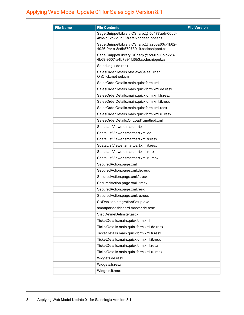| <b>File Name</b> | <b>File Contents</b>                                                                 | <b>File Version</b> |
|------------------|--------------------------------------------------------------------------------------|---------------------|
|                  | Sage.SnippetLibrary.CSharp.@.56477aeb-6066-<br>4f9e-b62c-5c0c66f4efe5.codesnippet.cs |                     |
|                  | Sage.SnippetLibrary.CSharp.@.a208a60c-1b62-<br>4026-9b4e-8cdb57973919.codesnippet.cs |                     |
|                  | Sage.SnippetLibrary.CSharp.@.fc60756c-b223-<br>4b69-9607-a4b7e91fd6b3.codesnippet.cs |                     |
|                  | SalesLogix.de.resx                                                                   |                     |
|                  | SalesOrderDetails.btnSaveSalesOrder<br>OnClick.method.xml                            |                     |
|                  | SalesOrderDetails.main.quickform.xml                                                 |                     |
|                  | SalesOrderDetails.main.quickform.xml.de.resx                                         |                     |
|                  | SalesOrderDetails.main.quickform.xml.fr.resx                                         |                     |
|                  | SalesOrderDetails.main.quickform.xml.it.resx                                         |                     |
|                  | SalesOrderDetails.main.quickform.xml.resx                                            |                     |
|                  | SalesOrderDetails.main.quickform.xml.ru.resx                                         |                     |
|                  | SalesOrderDetails.OnLoad1.method.xml                                                 |                     |
|                  | SdataListViewer.smartpart.xml                                                        |                     |
|                  | SdataListViewer.smartpart.xml.de.                                                    |                     |
|                  | SdataListViewer.smartpart.xml.fr.resx                                                |                     |
|                  | SdataListViewer.smartpart.xml.it.resx                                                |                     |
|                  | SdataListViewer.smartpart.xml.resx                                                   |                     |
|                  | SdataListViewer.smartpart.xml.ru.resx                                                |                     |
|                  | SecuredAction.page.xml                                                               |                     |
|                  | SecuredAction.page.xml.de.resx                                                       |                     |
|                  | SecuredAction.page.xml.fr.resx                                                       |                     |
|                  | SecuredAction.page.xml.it.resx                                                       |                     |
|                  | SecuredAction.page.xml.resx                                                          |                     |
|                  | SecuredAction.page.xml.ru.resx                                                       |                     |
|                  | SIxDesktopIntegrationSetup.exe                                                       |                     |
|                  | smartpartdashboard.master.de.resx                                                    |                     |
|                  | StepDefineDelimiter.ascx                                                             |                     |
|                  | TicketDetails.main.quickform.xml                                                     |                     |
|                  | TicketDetails.main.quickform.xml.de.resx                                             |                     |
|                  | TicketDetails.main.quickform.xml.fr.resx                                             |                     |
|                  | TicketDetails.main.quickform.xml.it.resx                                             |                     |
|                  | TicketDetails.main.quickform.xml.resx                                                |                     |
|                  | TicketDetails.main.quickform.xml.ru.resx                                             |                     |
|                  | Widgets.de.resx                                                                      |                     |
|                  | Widgets.fr.resx                                                                      |                     |
|                  | Widgets.it.resx                                                                      |                     |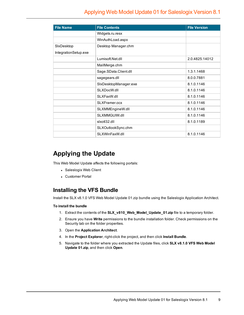| <b>File Name</b>     | <b>File Contents</b>  | <b>File Version</b> |
|----------------------|-----------------------|---------------------|
|                      | Widgets.ru.resx       |                     |
|                      | WinAuthLoad.aspx      |                     |
| SixDesktop           | Desktop Manager.chm   |                     |
| IntegrationSetup.exe |                       |                     |
|                      | Lumisoft.Net.dll      | 2.0.4825.14012      |
|                      | MailMerge.chm         |                     |
|                      | Sage.SData.Client.dll | 1.3.1.1468          |
|                      | sagegears.dll         | 8.0.0.7881          |
|                      | SIxDesktopManager.exe | 8.1.0.1146          |
|                      | SLXDocW.dll           | 8.1.0.1146          |
|                      | SLXFaxW.dll           | 8.1.0.1146          |
|                      | SLXFramer.ocx         | 8.1.0.1146          |
|                      | SLXMMEngineW.dll      | 8.1.0.1146          |
|                      | SLXMMGUIW.dll         | 8.1.0.1146          |
|                      | sixoti32.dll          | 8.1.0.1189          |
|                      | SLXOutlookSync.chm    |                     |
|                      | SLXWinFaxW.dll        | 8.1.0.1146          |

#### **Applying the Update**

This Web Model Update affects the following portals:

- Saleslogix Web Client
- Customer Portal

#### **Installing the VFS Bundle**

Install the SLX v8.1.0 VFS Web Model Update 01.zip bundle using the Saleslogix Application Architect.

#### **To install the bundle**

- 1. Extract the contents of the **SLX\_v810\_Web\_Model\_Update\_01.zip** file to a temporary folder.
- 2. Ensure you have **Write** permissions to the bundle installation folder. Check permissions on the Security tab on the folder properties.
- 3. Open the **Application Architect**.
- 4. In the **Project Explorer**, right-click the project, and then click **Install Bundle**.
- 5. Navigate to the folder where you extracted the Update files, click **SLX v8.1.0 VFS Web Model Update 01.zip**, and then click **Open**.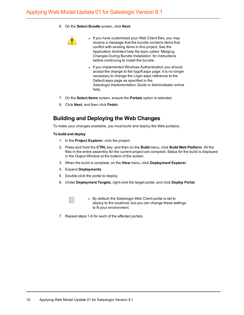6. On the **Select Bundle** screen, click **Next**.



- If you have customized your Web Client files, you may receive a message that the bundle contains items that conflict with existing items in this project. See the Application Architect help file topic called 'Merging Changes During Bundle Installation' for instructions before continuing to install the bundle.
- If you implemented Windows Authentication you should accept the change to the logoff.aspx page. It is no longer necessary to change the Login.aspx reference to the Default.aspx page as specified in the *Saleslogix Implementation Guide* or Administrator online help.
- 7. On the **Select Items** screen, ensure the **Portals** option is selected.
- 8. Click **Next**, and then click **Finish**.

#### **Building and Deploying the Web Changes**

To make your changes available, you must build and deploy the Web portal(s).

#### **To build and deploy**

- 1. In the **Project Explorer**, click the project.
- 2. Press and hold the **CTRL** key, and then on the **Build** menu, click **Build Web Platform**. All the files in the entire assembly for the current project are compiled. Status for the build is displayed in the Output Window at the bottom of the screen.
- 3. When the build is complete, on the **View** menu, click **Deployment Explorer**.
- 4. Expand **Deployments**.
- 5. Double-click the portal to deploy.
- 6. Under **Deployment Targets**, right-click the target portal, and click **Deploy Portal**.



• By default, the Saleslogix Web Client portal is set to deploy to the localhost, but you can change these settings to fit your environment.

7. Repeat steps 1-6 for each of the affected portals.